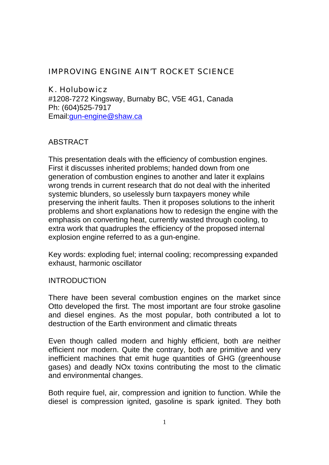## IMPROVING ENGINE AIN'T ROCKET SCIENCE

#### K. Holubowicz

#1208-7272 Kingsway, Burnaby BC, V5E 4G1, Canada Ph: (604)525-7917 Email:gun-engine@shaw.ca

## ABSTRACT

This presentation deals with the efficiency of combustion engines. First it discusses inherited problems; handed down from one generation of combustion engines to another and later it explains wrong trends in current research that do not deal with the inherited systemic blunders, so uselessly burn taxpayers money while preserving the inherit faults. Then it proposes solutions to the inherit problems and short explanations how to redesign the engine with the emphasis on converting heat, currently wasted through cooling, to extra work that quadruples the efficiency of the proposed internal explosion engine referred to as a gun-engine.

Key words: exploding fuel; internal cooling; recompressing expanded exhaust, harmonic oscillator

#### INTRODUCTION

There have been several combustion engines on the market since Otto developed the first. The most important are four stroke gasoline and diesel engines. As the most popular, both contributed a lot to destruction of the Earth environment and climatic threats

Even though called modern and highly efficient, both are neither efficient nor modern. Quite the contrary, both are primitive and very inefficient machines that emit huge quantities of GHG (greenhouse gases) and deadly NOx toxins contributing the most to the climatic and environmental changes.

Both require fuel, air, compression and ignition to function. While the diesel is compression ignited, gasoline is spark ignited. They both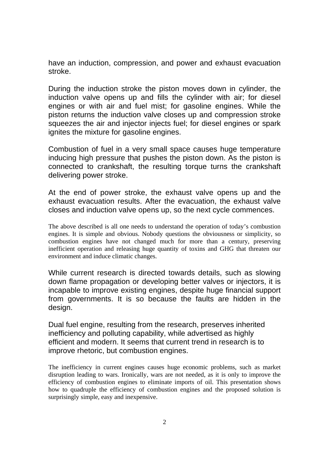have an induction, compression, and power and exhaust evacuation stroke.

During the induction stroke the piston moves down in cylinder, the induction valve opens up and fills the cylinder with air; for diesel engines or with air and fuel mist; for gasoline engines. While the piston returns the induction valve closes up and compression stroke squeezes the air and injector injects fuel; for diesel engines or spark ignites the mixture for gasoline engines.

Combustion of fuel in a very small space causes huge temperature inducing high pressure that pushes the piston down. As the piston is connected to crankshaft, the resulting torque turns the crankshaft delivering power stroke.

At the end of power stroke, the exhaust valve opens up and the exhaust evacuation results. After the evacuation, the exhaust valve closes and induction valve opens up, so the next cycle commences.

The above described is all one needs to understand the operation of today's combustion engines. It is simple and obvious. Nobody questions the obviousness or simplicity, so combustion engines have not changed much for more than a century, preserving inefficient operation and releasing huge quantity of toxins and GHG that threaten our environment and induce climatic changes.

While current research is directed towards details, such as slowing down flame propagation or developing better valves or injectors, it is incapable to improve existing engines, despite huge financial support from governments. It is so because the faults are hidden in the design.

Dual fuel engine, resulting from the research, preserves inherited inefficiency and polluting capability, while advertised as highly efficient and modern. It seems that current trend in research is to improve rhetoric, but combustion engines.

The inefficiency in current engines causes huge economic problems, such as market disruption leading to wars. Ironically, wars are not needed, as it is only to improve the efficiency of combustion engines to eliminate imports of oil. This presentation shows how to quadruple the efficiency of combustion engines and the proposed solution is surprisingly simple, easy and inexpensive.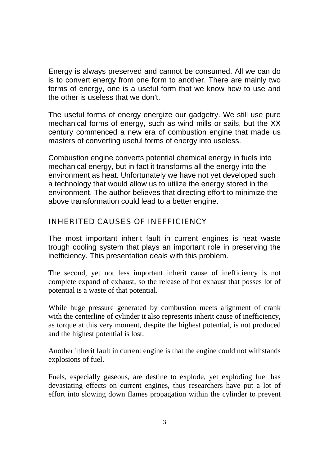Energy is always preserved and cannot be consumed. All we can do is to convert energy from one form to another. There are mainly two forms of energy, one is a useful form that we know how to use and the other is useless that we don't.

The useful forms of energy energize our gadgetry. We still use pure mechanical forms of energy, such as wind mills or sails, but the XX century commenced a new era of combustion engine that made us masters of converting useful forms of energy into useless.

Combustion engine converts potential chemical energy in fuels into mechanical energy, but in fact it transforms all the energy into the environment as heat. Unfortunately we have not yet developed such a technology that would allow us to utilize the energy stored in the environment. The author believes that directing effort to minimize the above transformation could lead to a better engine.

## INHERITED CAUSES OF INEFFICIENCY

The most important inherit fault in current engines is heat waste trough cooling system that plays an important role in preserving the inefficiency. This presentation deals with this problem.

The second, yet not less important inherit cause of inefficiency is not complete expand of exhaust, so the release of hot exhaust that posses lot of potential is a waste of that potential.

While huge pressure generated by combustion meets alignment of crank with the centerline of cylinder it also represents inherit cause of inefficiency, as torque at this very moment, despite the highest potential, is not produced and the highest potential is lost.

Another inherit fault in current engine is that the engine could not withstands explosions of fuel.

Fuels, especially gaseous, are destine to explode, yet exploding fuel has devastating effects on current engines, thus researchers have put a lot of effort into slowing down flames propagation within the cylinder to prevent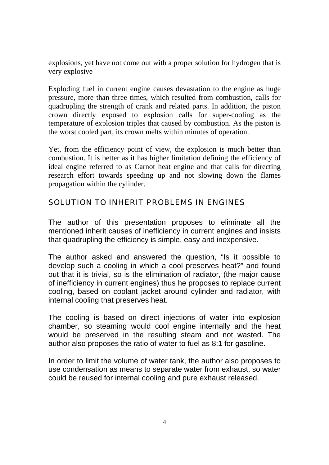explosions, yet have not come out with a proper solution for hydrogen that is very explosive

Exploding fuel in current engine causes devastation to the engine as huge pressure, more than three times, which resulted from combustion, calls for quadrupling the strength of crank and related parts. In addition, the piston crown directly exposed to explosion calls for super-cooling as the temperature of explosion triples that caused by combustion. As the piston is the worst cooled part, its crown melts within minutes of operation.

Yet, from the efficiency point of view, the explosion is much better than combustion. It is better as it has higher limitation defining the efficiency of ideal engine referred to as Carnot heat engine and that calls for directing research effort towards speeding up and not slowing down the flames propagation within the cylinder.

## SOLUTION TO INHERIT PROBLEMS IN ENGINES

The author of this presentation proposes to eliminate all the mentioned inherit causes of inefficiency in current engines and insists that quadrupling the efficiency is simple, easy and inexpensive.

The author asked and answered the question, "Is it possible to develop such a cooling in which a cool preserves heat?" and found out that it is trivial, so is the elimination of radiator, (the major cause of inefficiency in current engines) thus he proposes to replace current cooling, based on coolant jacket around cylinder and radiator, with internal cooling that preserves heat.

The cooling is based on direct injections of water into explosion chamber, so steaming would cool engine internally and the heat would be preserved in the resulting steam and not wasted. The author also proposes the ratio of water to fuel as 8:1 for gasoline.

In order to limit the volume of water tank, the author also proposes to use condensation as means to separate water from exhaust, so water could be reused for internal cooling and pure exhaust released.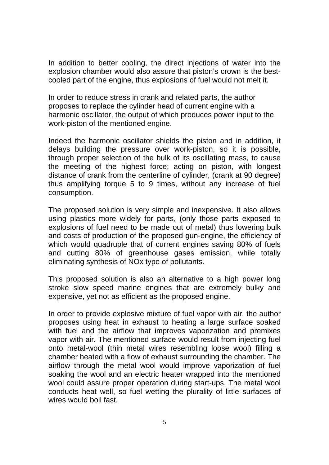In addition to better cooling, the direct injections of water into the explosion chamber would also assure that piston's crown is the bestcooled part of the engine, thus explosions of fuel would not melt it.

In order to reduce stress in crank and related parts, the author proposes to replace the cylinder head of current engine with a harmonic oscillator, the output of which produces power input to the work-piston of the mentioned engine.

Indeed the harmonic oscillator shields the piston and in addition, it delays building the pressure over work-piston, so it is possible, through proper selection of the bulk of its oscillating mass, to cause the meeting of the highest force; acting on piston, with longest distance of crank from the centerline of cylinder, (crank at 90 degree) thus amplifying torque 5 to 9 times, without any increase of fuel consumption.

The proposed solution is very simple and inexpensive. It also allows using plastics more widely for parts, (only those parts exposed to explosions of fuel need to be made out of metal) thus lowering bulk and costs of production of the proposed gun-engine, the efficiency of which would quadruple that of current engines saving 80% of fuels and cutting 80% of greenhouse gases emission, while totally eliminating synthesis of NOx type of pollutants.

This proposed solution is also an alternative to a high power long stroke slow speed marine engines that are extremely bulky and expensive, yet not as efficient as the proposed engine.

In order to provide explosive mixture of fuel vapor with air, the author proposes using heat in exhaust to heating a large surface soaked with fuel and the airflow that improves vaporization and premixes vapor with air. The mentioned surface would result from injecting fuel onto metal-wool (thin metal wires resembling loose wool) filling a chamber heated with a flow of exhaust surrounding the chamber. The airflow through the metal wool would improve vaporization of fuel soaking the wool and an electric heater wrapped into the mentioned wool could assure proper operation during start-ups. The metal wool conducts heat well, so fuel wetting the plurality of little surfaces of wires would boil fast.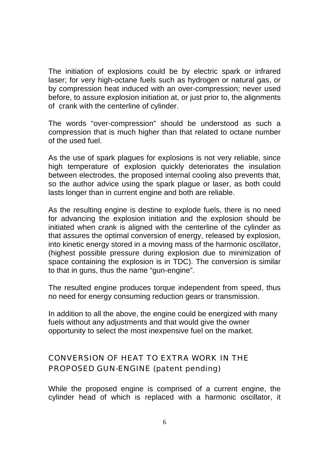The initiation of explosions could be by electric spark or infrared laser; for very high-octane fuels such as hydrogen or natural gas, or by compression heat induced with an over-compression; never used before, to assure explosion initiation at, or just prior to, the alignments of crank with the centerline of cylinder.

The words "over-compression" should be understood as such a compression that is much higher than that related to octane number of the used fuel.

As the use of spark plagues for explosions is not very reliable, since high temperature of explosion quickly deteriorates the insulation between electrodes, the proposed internal cooling also prevents that, so the author advice using the spark plague or laser, as both could lasts longer than in current engine and both are reliable.

As the resulting engine is destine to explode fuels, there is no need for advancing the explosion initiation and the explosion should be initiated when crank is aligned with the centerline of the cylinder as that assures the optimal conversion of energy, released by explosion, into kinetic energy stored in a moving mass of the harmonic oscillator, (highest possible pressure during explosion due to minimization of space containing the explosion is in TDC). The conversion is similar to that in guns, thus the name "gun-engine".

The resulted engine produces torque independent from speed, thus no need for energy consuming reduction gears or transmission.

In addition to all the above, the engine could be energized with many fuels without any adjustments and that would give the owner opportunity to select the most inexpensive fuel on the market.

# CONVERSION OF HEAT TO EXTRA WORK IN THE PROPOSED GUN-ENGINE (patent pending)

While the proposed engine is comprised of a current engine, the cylinder head of which is replaced with a harmonic oscillator, it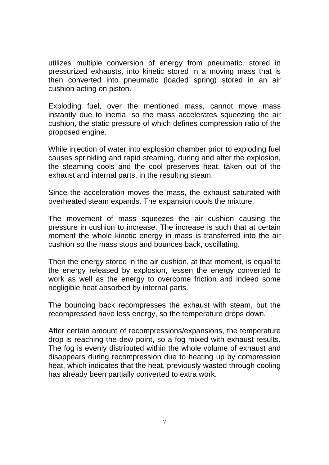utilizes multiple conversion of energy from pneumatic, stored in pressurized exhausts, into kinetic stored in a moving mass that is then converted into pneumatic (loaded spring) stored in an air cushion acting on piston.

Exploding fuel, over the mentioned mass, cannot move mass instantly due to inertia, so the mass accelerates squeezing the air cushion, the static pressure of which defines compression ratio of the proposed engine.

While injection of water into explosion chamber prior to exploding fuel causes sprinkling and rapid steaming, during and after the explosion, the steaming cools and the cool preserves heat, taken out of the exhaust and internal parts, in the resulting steam.

Since the acceleration moves the mass, the exhaust saturated with overheated steam expands. The expansion cools the mixture.

The movement of mass squeezes the air cushion causing the pressure in cushion to increase. The increase is such that at certain moment the whole kinetic energy in mass is transferred into the air cushion so the mass stops and bounces back, oscillating.

Then the energy stored in the air cushion, at that moment, is equal to the energy released by explosion, lessen the energy converted to work as well as the energy to overcome friction and indeed some negligible heat absorbed by internal parts.

The bouncing back recompresses the exhaust with steam, but the recompressed have less energy, so the temperature drops down.

After certain amount of recompressions/expansions, the temperature drop is reaching the dew point, so a fog mixed with exhaust results. The fog is evenly distributed within the whole volume of exhaust and disappears during recompression due to heating up by compression heat, which indicates that the heat, previously wasted through cooling has already been partially converted to extra work.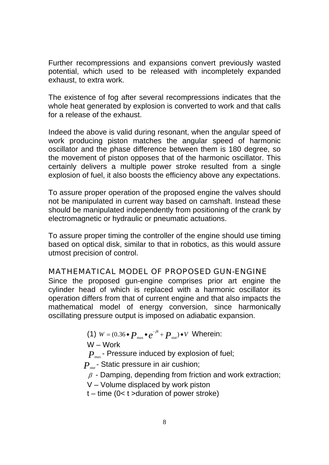Further recompressions and expansions convert previously wasted potential, which used to be released with incompletely expanded exhaust, to extra work.

The existence of fog after several recompressions indicates that the whole heat generated by explosion is converted to work and that calls for a release of the exhaust.

Indeed the above is valid during resonant, when the angular speed of work producing piston matches the angular speed of harmonic oscillator and the phase difference between them is 180 degree, so the movement of piston opposes that of the harmonic oscillator. This certainly delivers a multiple power stroke resulted from a single explosion of fuel, it also boosts the efficiency above any expectations.

To assure proper operation of the proposed engine the valves should not be manipulated in current way based on camshaft. Instead these should be manipulated independently from positioning of the crank by electromagnetic or hydraulic or pneumatic actuations.

To assure proper timing the controller of the engine should use timing based on optical disk, similar to that in robotics, as this would assure utmost precision of control.

#### MATHEMATICAL MODEL OF PROPOSED GUN-ENGINE

Since the proposed gun-engine comprises prior art engine the cylinder head of which is replaced with a harmonic oscillator its operation differs from that of current engine and that also impacts the mathematical model of energy conversion, since harmonically oscillating pressure output is imposed on adiabatic expansion.

(1)  $W = (0.36 \cdot P_{\text{max}} \cdot e^{-\beta t} + P_{\text{stat}}) \cdot V$  Wherein:

$$
\mathsf{W}-\mathsf{Work}
$$

 $P_{\text{max}}$  - Pressure induced by explosion of fuel;

*P<sub>stat</sub>*- Static pressure in air cushion;

 $\beta$  - Damping, depending from friction and work extraction;

V – Volume displaced by work piston

 $t - time (0 < t)$  > duration of power stroke)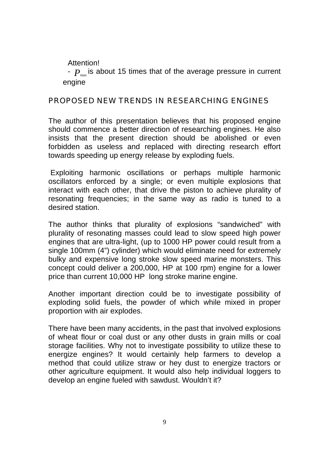Attention!

 $P_{\text{max}}$  is about 15 times that of the average pressure in current engine

#### PROPOSED NEW TRENDS IN RESEARCHING ENGINES

The author of this presentation believes that his proposed engine should commence a better direction of researching engines. He also insists that the present direction should be abolished or even forbidden as useless and replaced with directing research effort towards speeding up energy release by exploding fuels.

 Exploiting harmonic oscillations or perhaps multiple harmonic oscillators enforced by a single; or even multiple explosions that interact with each other, that drive the piston to achieve plurality of resonating frequencies; in the same way as radio is tuned to a desired station.

The author thinks that plurality of explosions "sandwiched" with plurality of resonating masses could lead to slow speed high power engines that are ultra-light, (up to 1000 HP power could result from a single 100mm (4") cylinder) which would eliminate need for extremely bulky and expensive long stroke slow speed marine monsters. This concept could deliver a 200,000, HP at 100 rpm) engine for a lower price than current 10,000 HP long stroke marine engine.

Another important direction could be to investigate possibility of exploding solid fuels, the powder of which while mixed in proper proportion with air explodes.

There have been many accidents, in the past that involved explosions of wheat flour or coal dust or any other dusts in grain mills or coal storage facilities. Why not to investigate possibility to utilize these to energize engines? It would certainly help farmers to develop a method that could utilize straw or hey dust to energize tractors or other agriculture equipment. It would also help individual loggers to develop an engine fueled with sawdust. Wouldn't it?